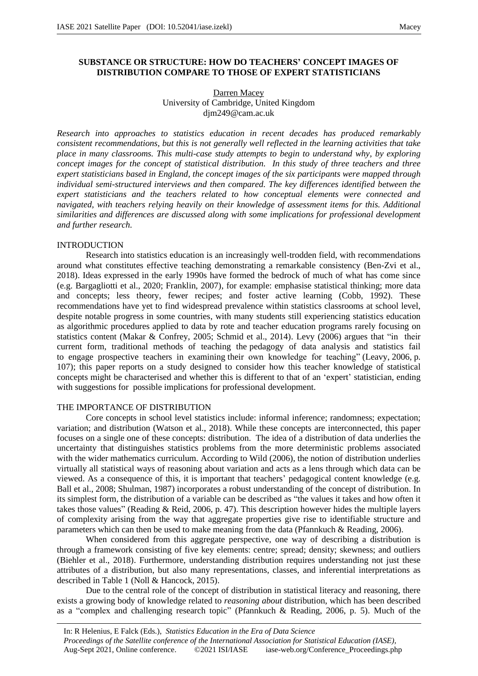## **SUBSTANCE OR STRUCTURE: HOW DO TEACHERS' CONCEPT IMAGES OF DISTRIBUTION COMPARE TO THOSE OF EXPERT STATISTICIANS**

### Darren Macey University of Cambridge, United Kingdom djm249@cam.ac.uk

*Research into approaches to statistics education in recent decades has produced remarkably consistent recommendations, but this is not generally well reflected in the learning activities that take place in many classrooms. This multi-case study attempts to begin to understand why, by exploring concept images for the concept of statistical distribution. In this study of three teachers and three expert statisticians based in England, the concept images of the six participants were mapped through individual semi-structured interviews and then compared. The key differences identified between the expert statisticians and the teachers related to how conceptual elements were connected and navigated, with teachers relying heavily on their knowledge of assessment items for this. Additional similarities and differences are discussed along with some implications for professional development and further research.*

### INTRODUCTION

Research into statistics education is an increasingly well-trodden field, with recommendations around what constitutes effective teaching demonstrating a remarkable consistency (Ben-Zvi et al., 2018). Ideas expressed in the early 1990s have formed the bedrock of much of what has come since (e.g. Bargagliotti et al., 2020; Franklin, 2007), for example: emphasise statistical thinking; more data and concepts; less theory, fewer recipes; and foster active learning (Cobb, 1992). These recommendations have yet to find widespread prevalence within statistics classrooms at school level, despite notable progress in some countries, with many students still experiencing statistics education as algorithmic procedures applied to data by rote and teacher education programs rarely focusing on statistics content (Makar & Confrey, 2005; Schmid et al., 2014). Levy (2006) argues that "in their current form, traditional methods of teaching the pedagogy of data analysis and statistics fail to engage prospective teachers in examining their own knowledge for teaching" (Leavy, 2006, p. 107); this paper reports on a study designed to consider how this teacher knowledge of statistical concepts might be characterised and whether this is different to that of an 'expert' statistician, ending with suggestions for possible implications for professional development.

### THE IMPORTANCE OF DISTRIBUTION

Core concepts in school level statistics include: informal inference; randomness; expectation; variation; and distribution (Watson et al., 2018). While these concepts are interconnected, this paper focuses on a single one of these concepts: distribution. The idea of a distribution of data underlies the uncertainty that distinguishes statistics problems from the more deterministic problems associated with the wider mathematics curriculum. According to Wild (2006), the notion of distribution underlies virtually all statistical ways of reasoning about variation and acts as a lens through which data can be viewed. As a consequence of this, it is important that teachers' pedagogical content knowledge (e.g. Ball et al., 2008; Shulman, 1987) incorporates a robust understanding of the concept of distribution. In its simplest form, the distribution of a variable can be described as "the values it takes and how often it takes those values" (Reading & Reid, 2006, p. 47). This description however hides the multiple layers of complexity arising from the way that aggregate properties give rise to identifiable structure and parameters which can then be used to make meaning from the data (Pfannkuch & Reading, 2006).

When considered from this aggregate perspective, one way of describing a distribution is through a framework consisting of five key elements: centre; spread; density; skewness; and outliers (Biehler et al., 2018). Furthermore, understanding distribution requires understanding not just these attributes of a distribution, but also many representations, classes, and inferential interpretations as described in Table 1 (Noll & Hancock, 2015).

Due to the central role of the concept of distribution in statistical literacy and reasoning, there exists a growing body of knowledge related to *reasoning about* distribution, which has been described as a "complex and challenging research topic" (Pfannkuch & Reading, 2006, p. 5). Much of the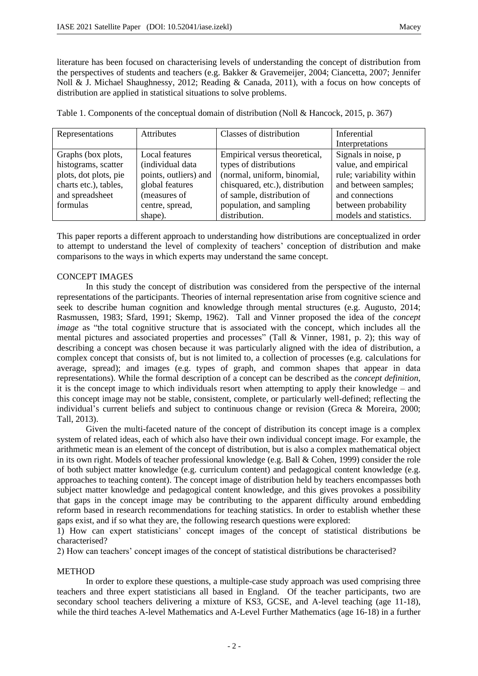literature has been focused on characterising levels of understanding the concept of distribution from the perspectives of students and teachers (e.g. Bakker & Gravemeijer, 2004; Ciancetta, 2007; Jennifer Noll & J. Michael Shaughnessy, 2012; Reading & Canada, 2011), with a focus on how concepts of distribution are applied in statistical situations to solve problems.

Table 1. Components of the conceptual domain of distribution (Noll & Hancock, 2015, p. 367)

| Representations       | Attributes            | Classes of distribution         | Inferential              |
|-----------------------|-----------------------|---------------------------------|--------------------------|
|                       |                       |                                 | Interpretations          |
| Graphs (box plots,    | Local features        | Empirical versus theoretical,   | Signals in noise, p      |
| histograms, scatter   | (individual data      | types of distributions          | value, and empirical     |
| plots, dot plots, pie | points, outliers) and | (normal, uniform, binomial,     | rule; variability within |
| charts etc.), tables, | global features       | chisquared, etc.), distribution | and between samples;     |
| and spreadsheet       | (measures of          | of sample, distribution of      | and connections          |
| formulas              | centre, spread,       | population, and sampling        | between probability      |
|                       | shape).               | distribution.                   | models and statistics.   |

This paper reports a different approach to understanding how distributions are conceptualized in order to attempt to understand the level of complexity of teachers' conception of distribution and make comparisons to the ways in which experts may understand the same concept.

# CONCEPT IMAGES

In this study the concept of distribution was considered from the perspective of the internal representations of the participants. Theories of internal representation arise from cognitive science and seek to describe human cognition and knowledge through mental structures (e.g. Augusto, 2014; Rasmussen, 1983; Sfard, 1991; Skemp, 1962). Tall and Vinner proposed the idea of the *concept image* as "the total cognitive structure that is associated with the concept, which includes all the mental pictures and associated properties and processes" (Tall & Vinner, 1981, p. 2); this way of describing a concept was chosen because it was particularly aligned with the idea of distribution, a complex concept that consists of, but is not limited to, a collection of processes (e.g. calculations for average, spread); and images (e.g. types of graph, and common shapes that appear in data representations). While the formal description of a concept can be described as the *concept definition,* it is the concept image to which individuals resort when attempting to apply their knowledge – and this concept image may not be stable, consistent, complete, or particularly well-defined; reflecting the individual's current beliefs and subject to continuous change or revision (Greca & Moreira, 2000; Tall, 2013).

Given the multi-faceted nature of the concept of distribution its concept image is a complex system of related ideas, each of which also have their own individual concept image. For example, the arithmetic mean is an element of the concept of distribution, but is also a complex mathematical object in its own right. Models of teacher professional knowledge (e.g. Ball & Cohen, 1999) consider the role of both subject matter knowledge (e.g. curriculum content) and pedagogical content knowledge (e.g. approaches to teaching content). The concept image of distribution held by teachers encompasses both subject matter knowledge and pedagogical content knowledge, and this gives provokes a possibility that gaps in the concept image may be contributing to the apparent difficulty around embedding reform based in research recommendations for teaching statistics. In order to establish whether these gaps exist, and if so what they are, the following research questions were explored:

1) How can expert statisticians' concept images of the concept of statistical distributions be characterised?

2) How can teachers' concept images of the concept of statistical distributions be characterised?

## **METHOD**

In order to explore these questions, a multiple-case study approach was used comprising three teachers and three expert statisticians all based in England. Of the teacher participants, two are secondary school teachers delivering a mixture of KS3, GCSE, and A-level teaching (age 11-18), while the third teaches A-level Mathematics and A-Level Further Mathematics (age 16-18) in a further

- 2 -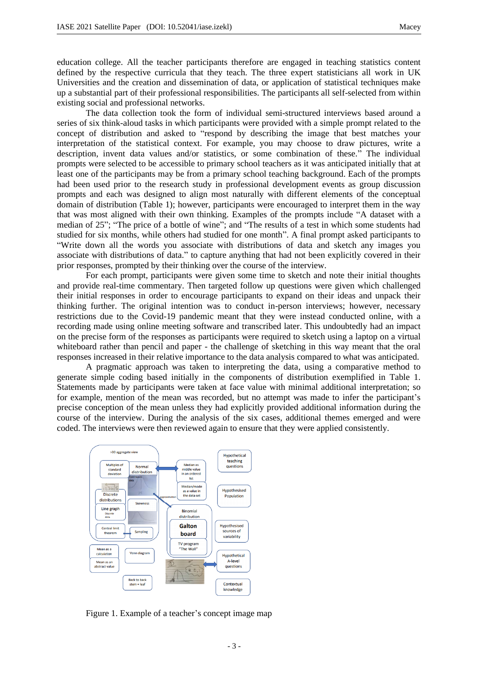education college. All the teacher participants therefore are engaged in teaching statistics content defined by the respective curricula that they teach. The three expert statisticians all work in UK Universities and the creation and dissemination of data, or application of statistical techniques make up a substantial part of their professional responsibilities. The participants all self-selected from within existing social and professional networks.

The data collection took the form of individual semi-structured interviews based around a series of six think-aloud tasks in which participants were provided with a simple prompt related to the concept of distribution and asked to "respond by describing the image that best matches your interpretation of the statistical context. For example, you may choose to draw pictures, write a description, invent data values and/or statistics, or some combination of these." The individual prompts were selected to be accessible to primary school teachers as it was anticipated initially that at least one of the participants may be from a primary school teaching background. Each of the prompts had been used prior to the research study in professional development events as group discussion prompts and each was designed to align most naturally with different elements of the conceptual domain of distribution (Table 1); however, participants were encouraged to interpret them in the way that was most aligned with their own thinking. Examples of the prompts include "A dataset with a median of 25"; "The price of a bottle of wine"; and "The results of a test in which some students had studied for six months, while others had studied for one month". A final prompt asked participants to "Write down all the words you associate with distributions of data and sketch any images you associate with distributions of data." to capture anything that had not been explicitly covered in their prior responses, prompted by their thinking over the course of the interview.

For each prompt, participants were given some time to sketch and note their initial thoughts and provide real-time commentary. Then targeted follow up questions were given which challenged their initial responses in order to encourage participants to expand on their ideas and unpack their thinking further. The original intention was to conduct in-person interviews; however, necessary restrictions due to the Covid-19 pandemic meant that they were instead conducted online, with a recording made using online meeting software and transcribed later. This undoubtedly had an impact on the precise form of the responses as participants were required to sketch using a laptop on a virtual whiteboard rather than pencil and paper - the challenge of sketching in this way meant that the oral responses increased in their relative importance to the data analysis compared to what was anticipated.

A pragmatic approach was taken to interpreting the data, using a comparative method to generate simple coding based initially in the components of distribution exemplified in Table 1. Statements made by participants were taken at face value with minimal additional interpretation; so for example, mention of the mean was recorded, but no attempt was made to infer the participant's precise conception of the mean unless they had explicitly provided additional information during the course of the interview. During the analysis of the six cases, additional themes emerged and were coded. The interviews were then reviewed again to ensure that they were applied consistently.



Figure 1. Example of a teacher's concept image map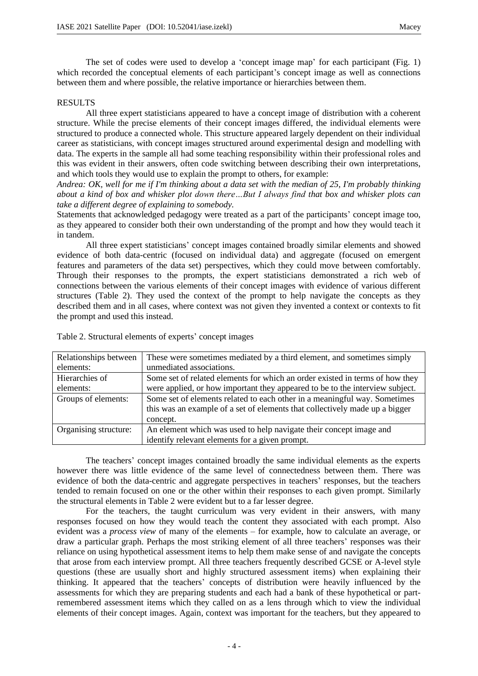The set of codes were used to develop a 'concept image map' for each participant (Fig. 1) which recorded the conceptual elements of each participant's concept image as well as connections between them and where possible, the relative importance or hierarchies between them.

### RESULTS

All three expert statisticians appeared to have a concept image of distribution with a coherent structure. While the precise elements of their concept images differed, the individual elements were structured to produce a connected whole. This structure appeared largely dependent on their individual career as statisticians, with concept images structured around experimental design and modelling with data. The experts in the sample all had some teaching responsibility within their professional roles and this was evident in their answers, often code switching between describing their own interpretations, and which tools they would use to explain the prompt to others, for example:

*Andrea: OK, well for me if I'm thinking about a data set with the median of 25, I'm probably thinking about a kind of box and whisker plot down there…But I always find that box and whisker plots can take a different degree of explaining to somebody.* 

Statements that acknowledged pedagogy were treated as a part of the participants' concept image too, as they appeared to consider both their own understanding of the prompt and how they would teach it in tandem.

All three expert statisticians' concept images contained broadly similar elements and showed evidence of both data-centric (focused on individual data) and aggregate (focused on emergent features and parameters of the data set) perspectives, which they could move between comfortably. Through their responses to the prompts, the expert statisticians demonstrated a rich web of connections between the various elements of their concept images with evidence of various different structures (Table 2). They used the context of the prompt to help navigate the concepts as they described them and in all cases, where context was not given they invented a context or contexts to fit the prompt and used this instead.

| Relationships between | These were sometimes mediated by a third element, and sometimes simply       |  |
|-----------------------|------------------------------------------------------------------------------|--|
| elements:             | unmediated associations.                                                     |  |
| Hierarchies of        | Some set of related elements for which an order existed in terms of how they |  |
| elements:             | were applied, or how important they appeared to be to the interview subject. |  |
| Groups of elements:   | Some set of elements related to each other in a meaningful way. Sometimes    |  |
|                       | this was an example of a set of elements that collectively made up a bigger  |  |
|                       | concept.                                                                     |  |
| Organising structure: | An element which was used to help navigate their concept image and           |  |
|                       | identify relevant elements for a given prompt.                               |  |

Table 2. Structural elements of experts' concept images

The teachers' concept images contained broadly the same individual elements as the experts however there was little evidence of the same level of connectedness between them. There was evidence of both the data-centric and aggregate perspectives in teachers' responses, but the teachers tended to remain focused on one or the other within their responses to each given prompt. Similarly the structural elements in Table 2 were evident but to a far lesser degree.

For the teachers, the taught curriculum was very evident in their answers, with many responses focused on how they would teach the content they associated with each prompt. Also evident was a *process view* of many of the elements – for example, how to calculate an average, or draw a particular graph. Perhaps the most striking element of all three teachers' responses was their reliance on using hypothetical assessment items to help them make sense of and navigate the concepts that arose from each interview prompt. All three teachers frequently described GCSE or A-level style questions (these are usually short and highly structured assessment items) when explaining their thinking. It appeared that the teachers' concepts of distribution were heavily influenced by the assessments for which they are preparing students and each had a bank of these hypothetical or partremembered assessment items which they called on as a lens through which to view the individual elements of their concept images. Again, context was important for the teachers, but they appeared to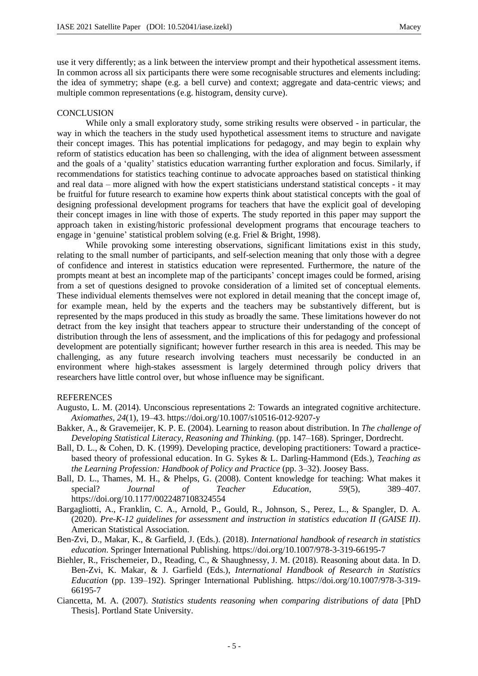use it very differently; as a link between the interview prompt and their hypothetical assessment items. In common across all six participants there were some recognisable structures and elements including: the idea of symmetry; shape (e.g. a bell curve) and context; aggregate and data-centric views; and multiple common representations (e.g. histogram, density curve).

### **CONCLUSION**

While only a small exploratory study, some striking results were observed - in particular, the way in which the teachers in the study used hypothetical assessment items to structure and navigate their concept images. This has potential implications for pedagogy, and may begin to explain why reform of statistics education has been so challenging, with the idea of alignment between assessment and the goals of a 'quality' statistics education warranting further exploration and focus. Similarly, if recommendations for statistics teaching continue to advocate approaches based on statistical thinking and real data – more aligned with how the expert statisticians understand statistical concepts - it may be fruitful for future research to examine how experts think about statistical concepts with the goal of designing professional development programs for teachers that have the explicit goal of developing their concept images in line with those of experts. The study reported in this paper may support the approach taken in existing/historic professional development programs that encourage teachers to engage in 'genuine' statistical problem solving (e.g. Friel & Bright, 1998).

While provoking some interesting observations, significant limitations exist in this study, relating to the small number of participants, and self-selection meaning that only those with a degree of confidence and interest in statistics education were represented. Furthermore, the nature of the prompts meant at best an incomplete map of the participants' concept images could be formed, arising from a set of questions designed to provoke consideration of a limited set of conceptual elements. These individual elements themselves were not explored in detail meaning that the concept image of, for example mean, held by the experts and the teachers may be substantively different, but is represented by the maps produced in this study as broadly the same. These limitations however do not detract from the key insight that teachers appear to structure their understanding of the concept of distribution through the lens of assessment, and the implications of this for pedagogy and professional development are potentially significant; however further research in this area is needed. This may be challenging, as any future research involving teachers must necessarily be conducted in an environment where high-stakes assessment is largely determined through policy drivers that researchers have little control over, but whose influence may be significant.

#### REFERENCES

- Augusto, L. M. (2014). Unconscious representations 2: Towards an integrated cognitive architecture. *Axiomathes*, *24*(1), 19–43. https://doi.org/10.1007/s10516-012-9207-y
- Bakker, A., & Gravemeijer, K. P. E. (2004). Learning to reason about distribution. In *The challenge of Developing Statistical Literacy, Reasoning and Thinking.* (pp. 147–168). Springer, Dordrecht.
- Ball, D. L., & Cohen, D. K. (1999). Developing practice, developing practitioners: Toward a practicebased theory of professional education. In G. Sykes & L. Darling-Hammond (Eds.), *Teaching as the Learning Profession: Handbook of Policy and Practice* (pp. 3–32). Joosey Bass.
- Ball, D. L., Thames, M. H., & Phelps, G. (2008). Content knowledge for teaching: What makes it special? *Journal of Teacher Education*, *59*(5), 389–407. https://doi.org/10.1177/0022487108324554
- Bargagliotti, A., Franklin, C. A., Arnold, P., Gould, R., Johnson, S., Perez, L., & Spangler, D. A. (2020). *Pre-K-12 guidelines for assessment and instruction in statistics education II (GAISE II)*. American Statistical Association.
- Ben-Zvi, D., Makar, K., & Garfield, J. (Eds.). (2018). *International handbook of research in statistics education*. Springer International Publishing. https://doi.org/10.1007/978-3-319-66195-7
- Biehler, R., Frischemeier, D., Reading, C., & Shaughnessy, J. M. (2018). Reasoning about data. In D. Ben-Zvi, K. Makar, & J. Garfield (Eds.), *International Handbook of Research in Statistics Education* (pp. 139–192). Springer International Publishing. https://doi.org/10.1007/978-3-319- 66195-7
- Ciancetta, M. A. (2007). *Statistics students reasoning when comparing distributions of data* [PhD Thesis]. Portland State University.